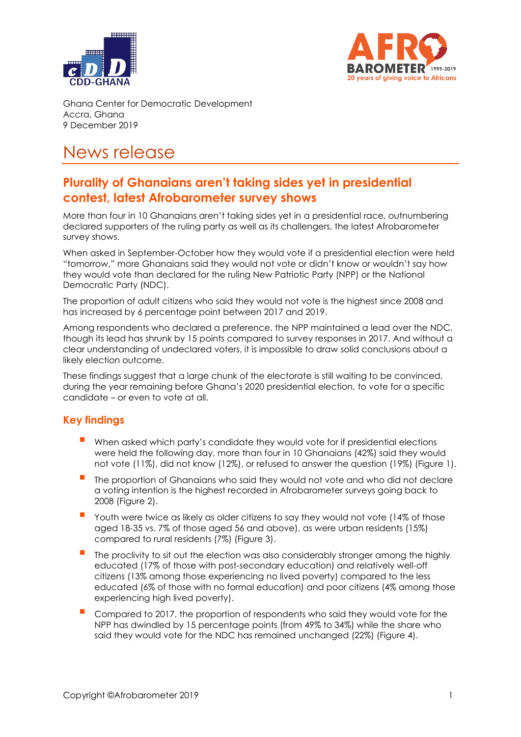



Ghana Center for Democratic Development Accra, Ghana 9 December 2019

# News release

## **Plurality of Ghanaians aren't taking sides yet in presidential contest, latest Afrobarometer survey shows**

More than four in 10 Ghanaians aren't taking sides yet in a presidential race, outnumbering declared supporters of the ruling party as well as its challengers, the latest Afrobarometer survey shows.

When asked in September-October how they would vote if a presidential election were held "tomorrow," more Ghanaians said they would not vote or didn't know or wouldn't say how they would vote than declared for the ruling New Patriotic Party (NPP) or the National Democratic Party (NDC).

The proportion of adult citizens who said they would not vote is the highest since 2008 and has increased by 6 percentage point between 2017 and 2019.

Among respondents who declared a preference, the NPP maintained a lead over the NDC, though its lead has shrunk by 15 points compared to survey responses in 2017. And without a clear understanding of undeclared voters, it is impossible to draw solid conclusions about a likely election outcome.

These findings suggest that a large chunk of the electorate is still waiting to be convinced, during the year remaining before Ghana's 2020 presidential election, to vote for a specific candidate – or even to vote at all.

### **Key findings**

- When asked which party's candidate they would vote for if presidential elections were held the following day, more than four in 10 Ghanaians (42%) said they would not vote (11%), did not know (12%), or refused to answer the question (19%) (Figure 1).
- The proportion of Ghanaians who said they would not vote and who did not declare a voting intention is the highest recorded in Afrobarometer surveys going back to 2008 (Figure 2).
- Youth were twice as likely as older citizens to say they would not vote (14% of those aged 18-35 vs. 7% of those aged 56 and above), as were urban residents (15%) compared to rural residents (7%) (Figure 3).
- The proclivity to sit out the election was also considerably stronger among the highly educated (17% of those with post-secondary education) and relatively well-off citizens (13% among those experiencing no lived poverty) compared to the less educated (6% of those with no formal education) and poor citizens (4% among those experiencing high lived poverty).
- Compared to 2017, the proportion of respondents who said they would vote for the NPP has dwindled by 15 percentage points (from 49% to 34%) while the share who said they would vote for the NDC has remained unchanged (22%) (Figure 4).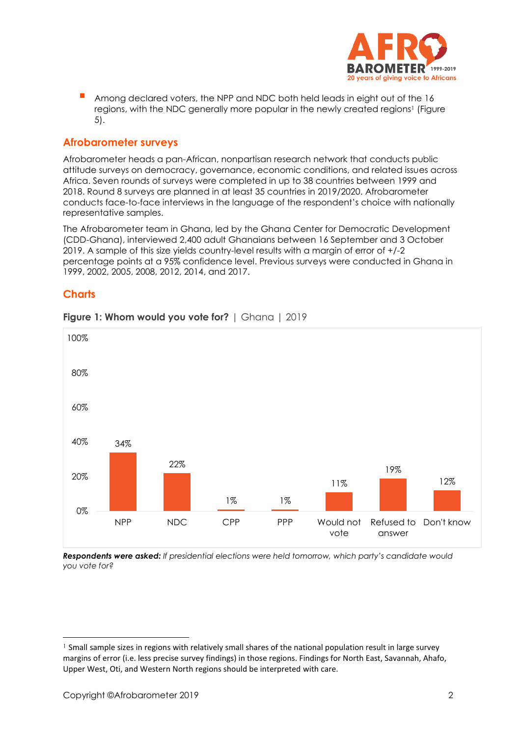

 Among declared voters, the NPP and NDC both held leads in eight out of the 16 regions, with the NDC generally more popular in the newly created regions<sup>1</sup> (Figure 5).

#### **Afrobarometer surveys**

Afrobarometer heads a pan-African, nonpartisan research network that conducts public attitude surveys on democracy, governance, economic conditions, and related issues across Africa. Seven rounds of surveys were completed in up to 38 countries between 1999 and 2018. Round 8 surveys are planned in at least 35 countries in 2019/2020. Afrobarometer conducts face-to-face interviews in the language of the respondent's choice with nationally representative samples.

The Afrobarometer team in Ghana, led by the Ghana Center for Democratic Development (CDD-Ghana), interviewed 2,400 adult Ghanaians between 16 September and 3 October 2019. A sample of this size yields country-level results with a margin of error of +/-2 percentage points at a 95% confidence level. Previous surveys were conducted in Ghana in 1999, 2002, 2005, 2008, 2012, 2014, and 2017.

#### **Charts**



#### **Figure 1: Whom would you vote for?** | Ghana | 2019

*Respondents were asked: If presidential elections were held tomorrow, which party's candidate would you vote for?*

-

<sup>&</sup>lt;sup>1</sup> Small sample sizes in regions with relatively small shares of the national population result in large survey margins of error (i.e. less precise survey findings) in those regions. Findings for North East, Savannah, Ahafo, Upper West, Oti, and Western North regions should be interpreted with care.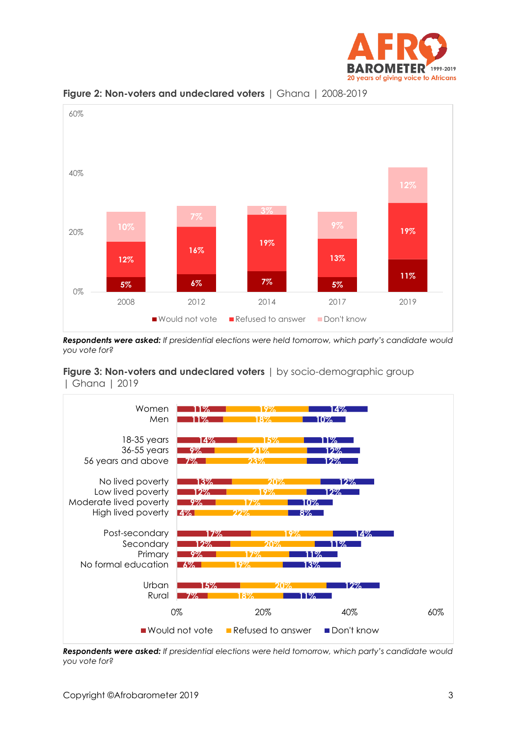



**Figure 2: Non-voters and undeclared voters** | Ghana | 2008-2019

*Respondents were asked: If presidential elections were held tomorrow, which party's candidate would you vote for?*

**Figure 3: Non-voters and undeclared voters** | by socio-demographic group | Ghana | 2019



*Respondents were asked: If presidential elections were held tomorrow, which party's candidate would you vote for?*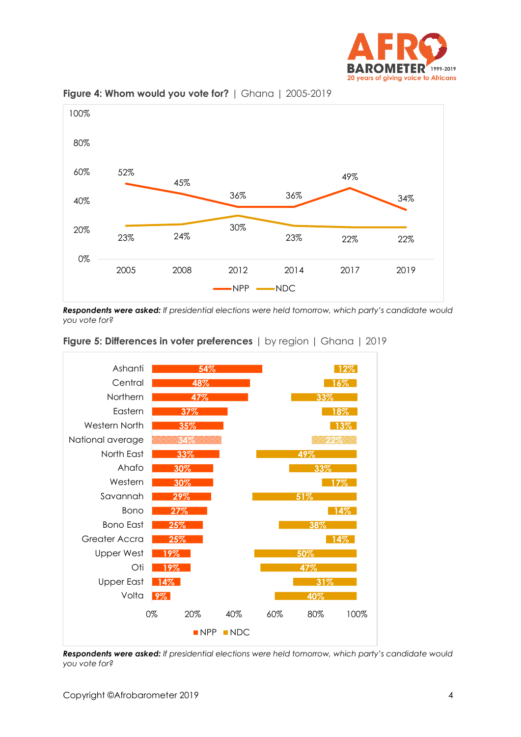



**Figure 4: Whom would you vote for?** | Ghana | 2005-2019

*Respondents were asked: If presidential elections were held tomorrow, which party's candidate would you vote for?*



#### **Figure 5: Differences in voter preferences** | by region | Ghana | 2019

*Respondents were asked: If presidential elections were held tomorrow, which party's candidate would you vote for?*